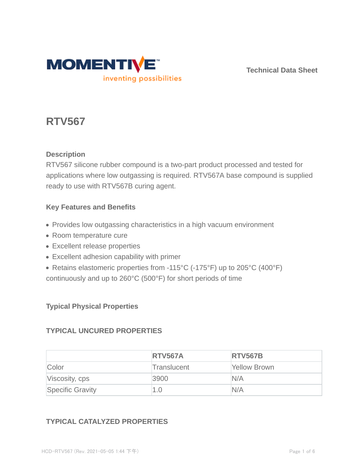

**Technical Data Sheet**

# **RTV567**

## **Description**

RTV567 silicone rubber compound is a two-part product processed and tested for applications where low outgassing is required. RTV567A base compound is supplied ready to use with RTV567B curing agent.

## **Key Features and Benefits**

- Provides low outgassing characteristics in a high vacuum environment
- Room temperature cure
- Excellent release properties
- Excellent adhesion capability with primer
- Retains elastomeric properties from -115°C (-175°F) up to 205°C (400°F)
- continuously and up to 260°C (500°F) for short periods of time

## **Typical Physical Properties**

## **TYPICAL UNCURED PROPERTIES**

|                         | <b>RTV567A</b> | <b>RTV567B</b> |
|-------------------------|----------------|----------------|
| Color                   | Translucent    | Yellow Brown   |
| Viscosity, cps          | 3900           | N/A            |
| <b>Specific Gravity</b> | 1.0            | N/A            |

## **TYPICAL CATALYZED PROPERTIES**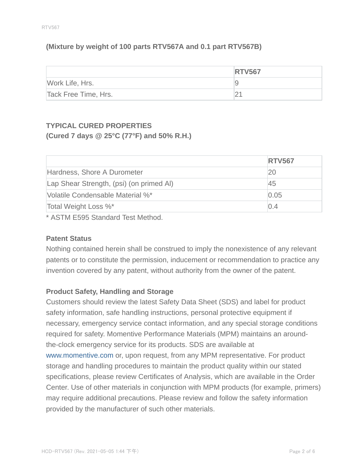## **(Mixture by weight of 100 parts RTV567A and 0.1 part RTV567B)**

|                      | <b>RTV567</b> |
|----------------------|---------------|
| Work Life, Hrs.      | ч             |
| Tack Free Time, Hrs. |               |

# **TYPICAL CURED PROPERTIES (Cured 7 days @ 25°C (77°F) and 50% R.H.)**

|                                          | <b>RTV567</b> |
|------------------------------------------|---------------|
| Hardness, Shore A Durometer              | 20            |
| Lap Shear Strength, (psi) (on primed Al) | 45            |
| Volatile Condensable Material %*         | 0.05          |
| Total Weight Loss %*                     | 0.4           |

\* ASTM E595 Standard Test Method.

#### **Patent Status**

Nothing contained herein shall be construed to imply the nonexistence of any relevant patents or to constitute the permission, inducement or recommendation to practice any invention covered by any patent, without authority from the owner of the patent.

#### **Product Safety, Handling and Storage**

Customers should review the latest Safety Data Sheet (SDS) and label for product safety information, safe handling instructions, personal protective equipment if necessary, emergency service contact information, and any special storage conditions required for safety. Momentive Performance Materials (MPM) maintains an aroundthe-clock emergency service for its products. SDS are available at www.momentive.com or, upon request, from any MPM representative. For product storage and handling procedures to maintain the product quality within our stated specifications, please review Certificates of Analysis, which are available in the Order Center. Use of other materials in conjunction with MPM products (for example, primers) may require additional precautions. Please review and follow the safety information provided by the manufacturer of such other materials.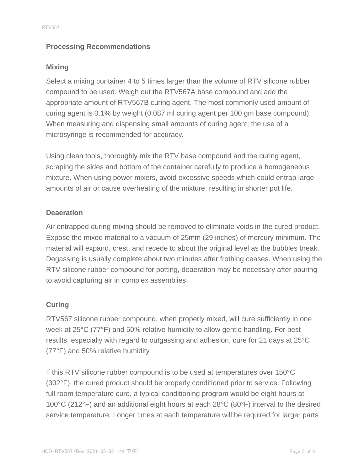## **Processing Recommendations**

### **Mixing**

Select a mixing container 4 to 5 times larger than the volume of RTV silicone rubber compound to be used. Weigh out the RTV567A base compound and add the appropriate amount of RTV567B curing agent. The most commonly used amount of curing agent is 0.1% by weight (0.087 ml curing agent per 100 gm base compound). When measuring and dispensing small amounts of curing agent, the use of a microsyringe is recommended for accuracy.

Using clean tools, thoroughly mix the RTV base compound and the curing agent, scraping the sides and bottom of the container carefully to produce a homogeneous mixture. When using power mixers, avoid excessive speeds which could entrap large amounts of air or cause overheating of the mixture, resulting in shorter pot life.

## **Deaeration**

Air entrapped during mixing should be removed to eliminate voids in the cured product. Expose the mixed material to a vacuum of 25mm (29 inches) of mercury minimum. The material will expand, crest, and recede to about the original level as the bubbles break. Degassing is usually complete about two minutes after frothing ceases. When using the RTV silicone rubber compound for potting, deaeration may be necessary after pouring to avoid capturing air in complex assemblies.

## **Curing**

RTV567 silicone rubber compound, when properly mixed, will cure sufficiently in one week at 25°C (77°F) and 50% relative humidity to allow gentle handling. For best results, especially with regard to outgassing and adhesion, cure for 21 days at 25°C (77°F) and 50% relative humidity.

If this RTV silicone rubber compound is to be used at temperatures over 150°C (302°F), the cured product should be properly conditioned prior to service. Following full room temperature cure, a typical conditioning program would be eight hours at 100°C (212°F) and an additional eight hours at each 28°C (80°F) interval to the desired service temperature. Longer times at each temperature will be required for larger parts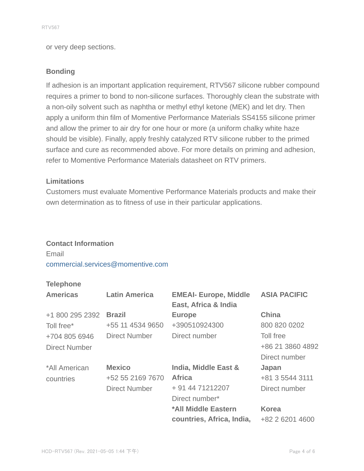or very deep sections.

#### **Bonding**

If adhesion is an important application requirement, RTV567 silicone rubber compound requires a primer to bond to non-silicone surfaces. Thoroughly clean the substrate with a non-oily solvent such as naphtha or methyl ethyl ketone (MEK) and let dry. Then apply a uniform thin film of Momentive Performance Materials SS4155 silicone primer and allow the primer to air dry for one hour or more (a uniform chalky white haze should be visible). Finally, apply freshly catalyzed RTV silicone rubber to the primed surface and cure as recommended above. For more details on priming and adhesion, refer to Momentive Performance Materials datasheet on RTV primers.

#### **Limitations**

Customers must evaluate Momentive Performance Materials products and make their own determination as to fitness of use in their particular applications.

#### **Contact Information**

Email

#### commercial.services@momentive.com

#### **Telephone**

| <b>Americas</b>      | <b>Latin America</b> | <b>EMEAI- Europe, Middle</b><br>East, Africa & India | <b>ASIA PACIFIC</b> |
|----------------------|----------------------|------------------------------------------------------|---------------------|
| +1 800 295 2392      | <b>Brazil</b>        | <b>Europe</b>                                        | <b>China</b>        |
| Toll free*           | +55 11 4534 9650     | +390510924300                                        | 800 820 0202        |
| +704 805 6946        | Direct Number        | Direct number                                        | Toll free           |
| <b>Direct Number</b> |                      |                                                      | +86 21 3860 4892    |
|                      |                      |                                                      | Direct number       |
| *All American        | <b>Mexico</b>        | India, Middle East &                                 | Japan               |
| countries            | +52 55 2169 7670     | <b>Africa</b>                                        | +81 3 5544 3111     |
|                      | <b>Direct Number</b> | + 91 44 71212207                                     | Direct number       |
|                      |                      | Direct number*                                       |                     |
|                      |                      | *All Middle Eastern                                  | <b>Korea</b>        |
|                      |                      | countries, Africa, India,                            | +82 2 6201 4600     |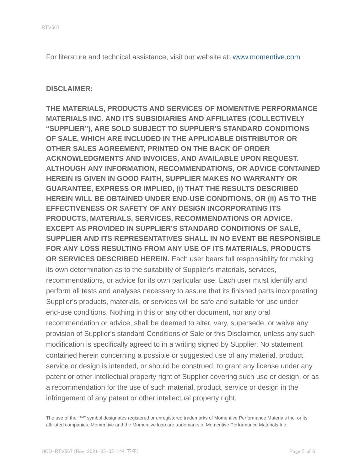For literature and technical assistance, visit our website at: www.momentive.com

#### **DISCLAIMER:**

**THE MATERIALS, PRODUCTS AND SERVICES OF MOMENTIVE PERFORMANCE MATERIALS INC. AND ITS SUBSIDIARIES AND AFFILIATES (COLLECTIVELY "SUPPLIER"), ARE SOLD SUBJECT TO SUPPLIER'S STANDARD CONDITIONS OF SALE, WHICH ARE INCLUDED IN THE APPLICABLE DISTRIBUTOR OR OTHER SALES AGREEMENT, PRINTED ON THE BACK OF ORDER ACKNOWLEDGMENTS AND INVOICES, AND AVAILABLE UPON REQUEST. ALTHOUGH ANY INFORMATION, RECOMMENDATIONS, OR ADVICE CONTAINED HEREIN IS GIVEN IN GOOD FAITH, SUPPLIER MAKES NO WARRANTY OR GUARANTEE, EXPRESS OR IMPLIED, (i) THAT THE RESULTS DESCRIBED HEREIN WILL BE OBTAINED UNDER END-USE CONDITIONS, OR (ii) AS TO THE EFFECTIVENESS OR SAFETY OF ANY DESIGN INCORPORATING ITS PRODUCTS, MATERIALS, SERVICES, RECOMMENDATIONS OR ADVICE. EXCEPT AS PROVIDED IN SUPPLIER'S STANDARD CONDITIONS OF SALE, SUPPLIER AND ITS REPRESENTATIVES SHALL IN NO EVENT BE RESPONSIBLE FOR ANY LOSS RESULTING FROM ANY USE OF ITS MATERIALS, PRODUCTS OR SERVICES DESCRIBED HEREIN.** Each user bears full responsibility for making its own determination as to the suitability of Supplier's materials, services, recommendations, or advice for its own particular use. Each user must identify and perform all tests and analyses necessary to assure that its finished parts incorporating Supplier's products, materials, or services will be safe and suitable for use under end-use conditions. Nothing in this or any other document, nor any oral recommendation or advice, shall be deemed to alter, vary, supersede, or waive any provision of Supplier's standard Conditions of Sale or this Disclaimer, unless any such modification is specifically agreed to in a writing signed by Supplier. No statement contained herein concerning a possible or suggested use of any material, product, service or design is intended, or should be construed, to grant any license under any patent or other intellectual property right of Supplier covering such use or design, or as a recommendation for the use of such material, product, service or design in the infringement of any patent or other intellectual property right.

The use of the "™" symbol designates registered or unregistered trademarks of Momentive Performance Materials Inc. or its affiliated companies. Momentive and the Momentive logo are trademarks of Momentive Performance Materials Inc.